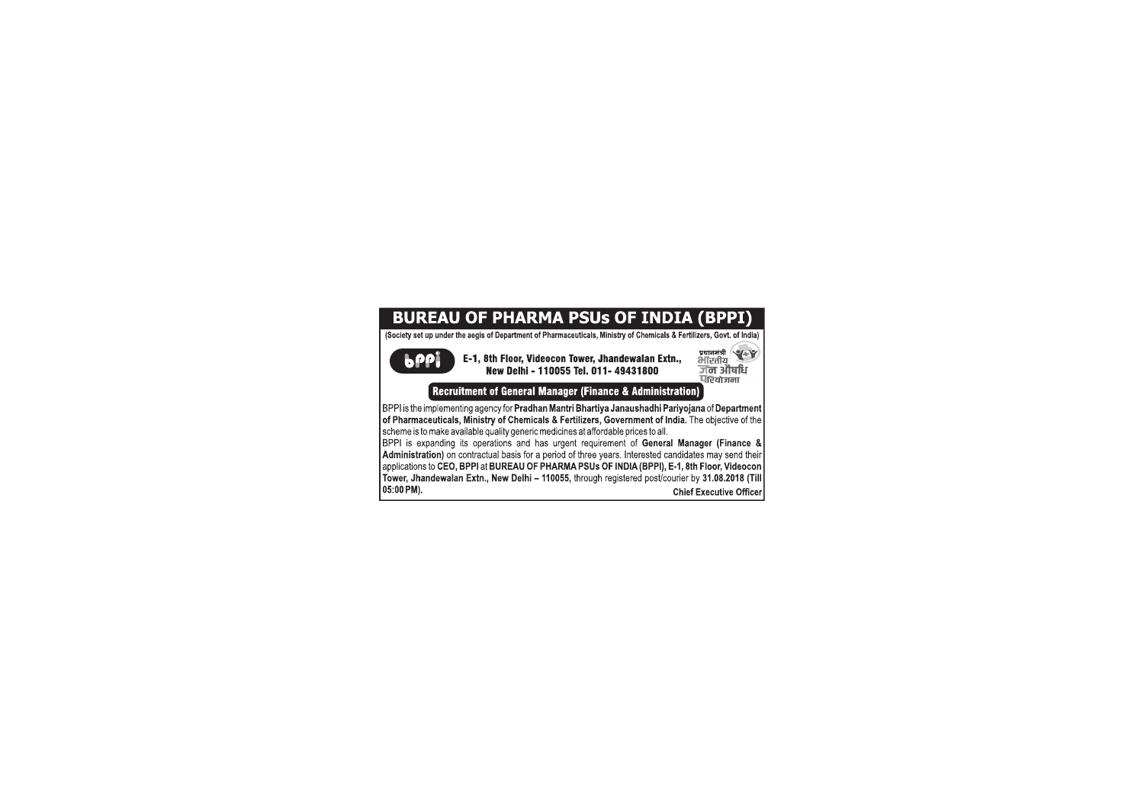## **BUREAU OF PHARMA PSUs OF INDIA (BPPI)**

(Society set up under the aegis of Department of Pharmaceuticals, Ministry of Chemicals & Fertilizers, Govt. of India)

**b**PPL

प्रधानमंत्री<br>भारतीय<br>जी**न औषधि**<br>पश्चिजना E-1, 8th Floor, Videocon Tower, Jhandewalan Extn., New Delhi - 110055 Tel. 011- 49431800 **Recruitment of General Manager (Finance & Administration)** 

BPPI is the implementing agency for Pradhan Mantri Bhartiya Janaushadhi Pariyojana of Department of Pharmaceuticals. Ministry of Chemicals & Fertilizers. Government of India. The objective of the scheme is to make available quality generic medicines at affordable prices to all.

BPPI is expanding its operations and has urgent requirement of General Manager (Finance & Administration) on contractual basis for a period of three years. Interested candidates may send their applications to CEO, BPPI at BUREAU OF PHARMA PSUs OF INDIA (BPPI), E-1, 8th Floor, Videocon Tower, Jhandewalan Extn., New Delhi - 110055, through registered post/courier by 31.08.2018 (Till 05:00 PM). **Chief Executive Officer**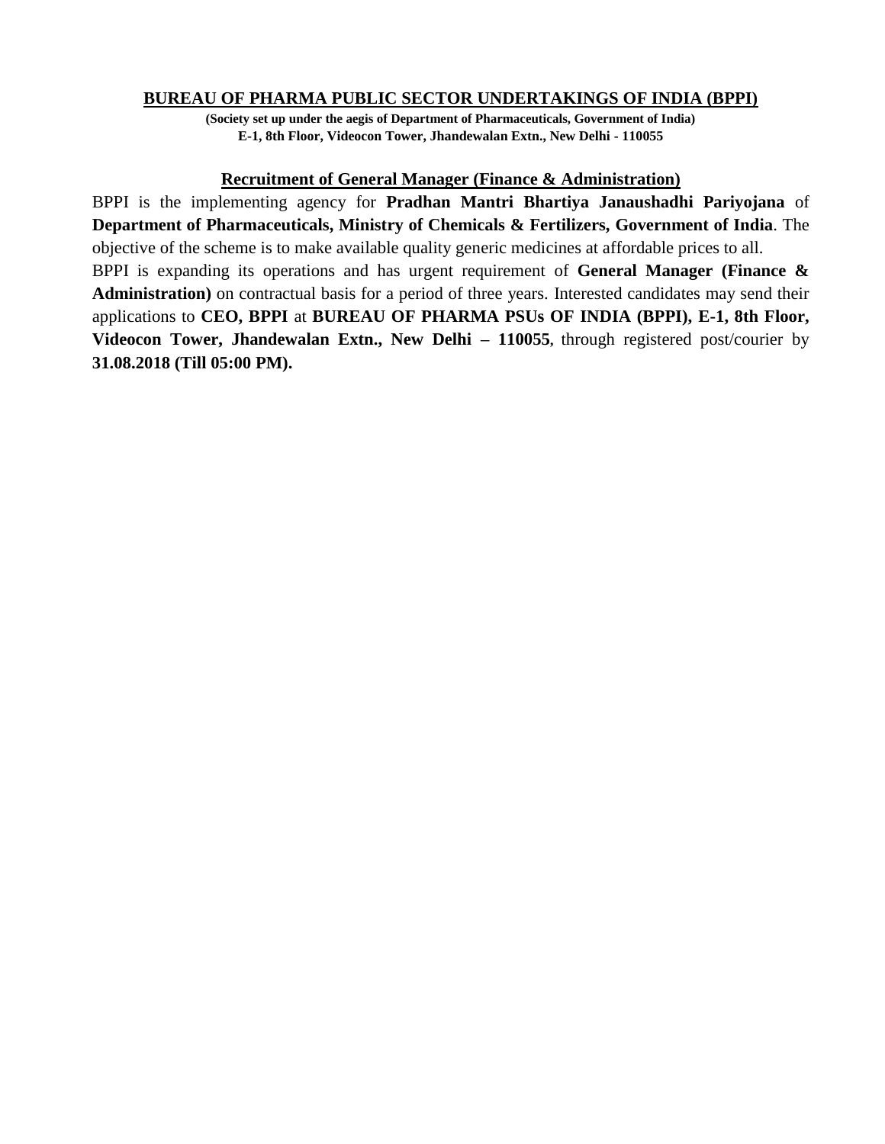## **BUREAU OF PHARMA PUBLIC SECTOR UNDERTAKINGS OF INDIA (BPPI)**

**(Society set up under the aegis of Department of Pharmaceuticals, Government of India) E-1, 8th Floor, Videocon Tower, Jhandewalan Extn., New Delhi - 110055**

#### **Recruitment of General Manager (Finance & Administration)**

BPPI is the implementing agency for **Pradhan Mantri Bhartiya Janaushadhi Pariyojana** of **Department of Pharmaceuticals, Ministry of Chemicals & Fertilizers, Government of India**. The objective of the scheme is to make available quality generic medicines at affordable prices to all. BPPI is expanding its operations and has urgent requirement of **General Manager (Finance & Administration)** on contractual basis for a period of three years. Interested candidates may send their applications to **CEO, BPPI** at **BUREAU OF PHARMA PSUs OF INDIA (BPPI), E-1, 8th Floor, Videocon Tower, Jhandewalan Extn., New Delhi – 110055,** through registered post/courier by **31.08.2018 (Till 05:00 PM).**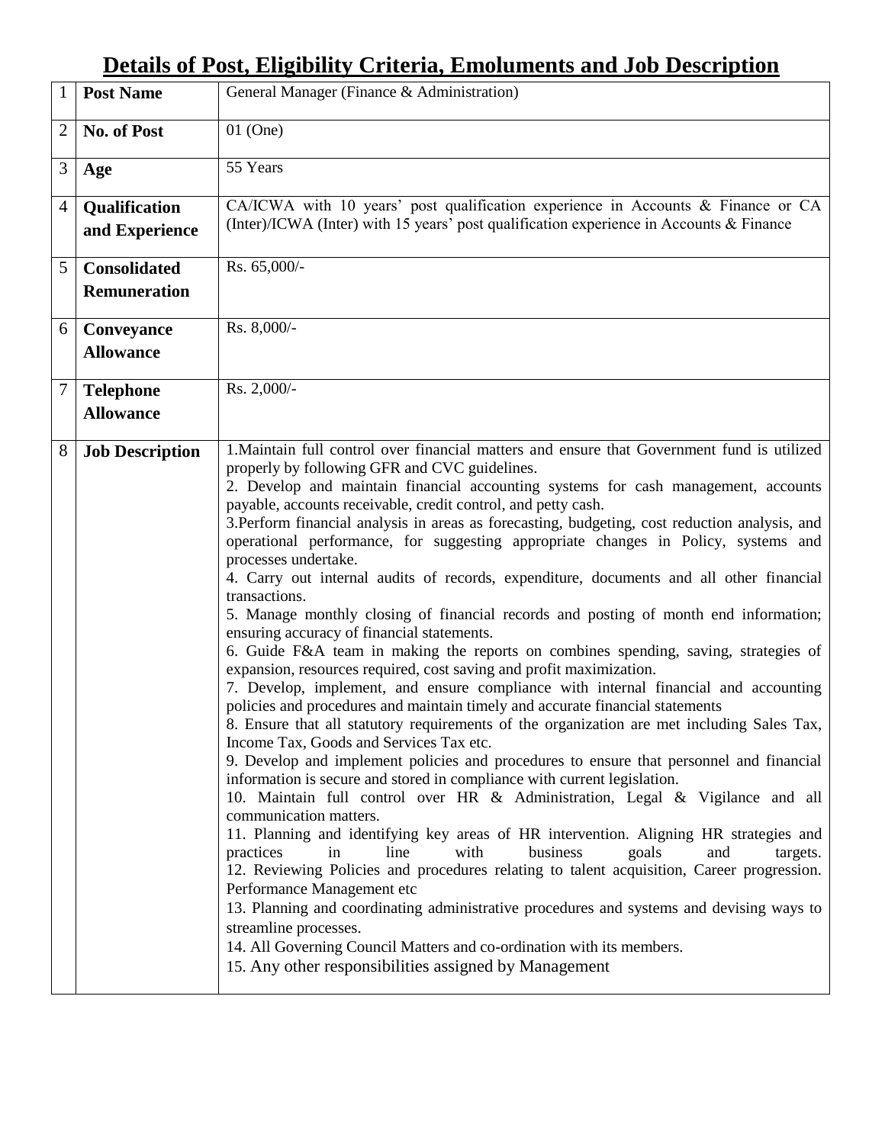# **Details of Post, Eligibility Criteria, Emoluments and Job Description**

| $\mathbf{1}$   | <b>Post Name</b>                           | General Manager (Finance & Administration)                                                                                                                                                                                                                                                                                                                                                                                                                                                                                                                                                                                                                                                                                                                                                                                                                                                                                                                                                                                                                                                                                                                                                                                                                                                                                                                                                                                                                                                                                                                                                                                                                                                                                                                                                                                                                                                                                                                                                                                                                                                   |
|----------------|--------------------------------------------|----------------------------------------------------------------------------------------------------------------------------------------------------------------------------------------------------------------------------------------------------------------------------------------------------------------------------------------------------------------------------------------------------------------------------------------------------------------------------------------------------------------------------------------------------------------------------------------------------------------------------------------------------------------------------------------------------------------------------------------------------------------------------------------------------------------------------------------------------------------------------------------------------------------------------------------------------------------------------------------------------------------------------------------------------------------------------------------------------------------------------------------------------------------------------------------------------------------------------------------------------------------------------------------------------------------------------------------------------------------------------------------------------------------------------------------------------------------------------------------------------------------------------------------------------------------------------------------------------------------------------------------------------------------------------------------------------------------------------------------------------------------------------------------------------------------------------------------------------------------------------------------------------------------------------------------------------------------------------------------------------------------------------------------------------------------------------------------------|
| $\overline{2}$ | No. of Post                                | $01$ (One)                                                                                                                                                                                                                                                                                                                                                                                                                                                                                                                                                                                                                                                                                                                                                                                                                                                                                                                                                                                                                                                                                                                                                                                                                                                                                                                                                                                                                                                                                                                                                                                                                                                                                                                                                                                                                                                                                                                                                                                                                                                                                   |
| 3              | Age                                        | 55 Years                                                                                                                                                                                                                                                                                                                                                                                                                                                                                                                                                                                                                                                                                                                                                                                                                                                                                                                                                                                                                                                                                                                                                                                                                                                                                                                                                                                                                                                                                                                                                                                                                                                                                                                                                                                                                                                                                                                                                                                                                                                                                     |
| $\overline{4}$ | Qualification<br>and Experience            | CA/ICWA with 10 years' post qualification experience in Accounts & Finance or CA<br>(Inter)/ICWA (Inter) with 15 years' post qualification experience in Accounts $\&$ Finance                                                                                                                                                                                                                                                                                                                                                                                                                                                                                                                                                                                                                                                                                                                                                                                                                                                                                                                                                                                                                                                                                                                                                                                                                                                                                                                                                                                                                                                                                                                                                                                                                                                                                                                                                                                                                                                                                                               |
| 5              | <b>Consolidated</b><br><b>Remuneration</b> | Rs. 65,000/-                                                                                                                                                                                                                                                                                                                                                                                                                                                                                                                                                                                                                                                                                                                                                                                                                                                                                                                                                                                                                                                                                                                                                                                                                                                                                                                                                                                                                                                                                                                                                                                                                                                                                                                                                                                                                                                                                                                                                                                                                                                                                 |
| 6              | Conveyance<br><b>Allowance</b>             | Rs. 8,000/-                                                                                                                                                                                                                                                                                                                                                                                                                                                                                                                                                                                                                                                                                                                                                                                                                                                                                                                                                                                                                                                                                                                                                                                                                                                                                                                                                                                                                                                                                                                                                                                                                                                                                                                                                                                                                                                                                                                                                                                                                                                                                  |
| $\overline{7}$ | <b>Telephone</b><br><b>Allowance</b>       | Rs. 2,000/-                                                                                                                                                                                                                                                                                                                                                                                                                                                                                                                                                                                                                                                                                                                                                                                                                                                                                                                                                                                                                                                                                                                                                                                                                                                                                                                                                                                                                                                                                                                                                                                                                                                                                                                                                                                                                                                                                                                                                                                                                                                                                  |
| 8              | <b>Job Description</b>                     | 1. Maintain full control over financial matters and ensure that Government fund is utilized<br>properly by following GFR and CVC guidelines.<br>2. Develop and maintain financial accounting systems for cash management, accounts<br>payable, accounts receivable, credit control, and petty cash.<br>3. Perform financial analysis in areas as forecasting, budgeting, cost reduction analysis, and<br>operational performance, for suggesting appropriate changes in Policy, systems and<br>processes undertake.<br>4. Carry out internal audits of records, expenditure, documents and all other financial<br>transactions.<br>5. Manage monthly closing of financial records and posting of month end information;<br>ensuring accuracy of financial statements.<br>6. Guide F&A team in making the reports on combines spending, saving, strategies of<br>expansion, resources required, cost saving and profit maximization.<br>7. Develop, implement, and ensure compliance with internal financial and accounting<br>policies and procedures and maintain timely and accurate financial statements<br>8. Ensure that all statutory requirements of the organization are met including Sales Tax,<br>Income Tax, Goods and Services Tax etc.<br>9. Develop and implement policies and procedures to ensure that personnel and financial<br>information is secure and stored in compliance with current legislation.<br>10. Maintain full control over HR & Administration, Legal & Vigilance and all<br>communication matters.<br>11. Planning and identifying key areas of HR intervention. Aligning HR strategies and<br>with<br>practices<br>line<br>business<br>goals<br>and<br>in<br>targets.<br>12. Reviewing Policies and procedures relating to talent acquisition, Career progression.<br>Performance Management etc<br>13. Planning and coordinating administrative procedures and systems and devising ways to<br>streamline processes.<br>14. All Governing Council Matters and co-ordination with its members.<br>15. Any other responsibilities assigned by Management |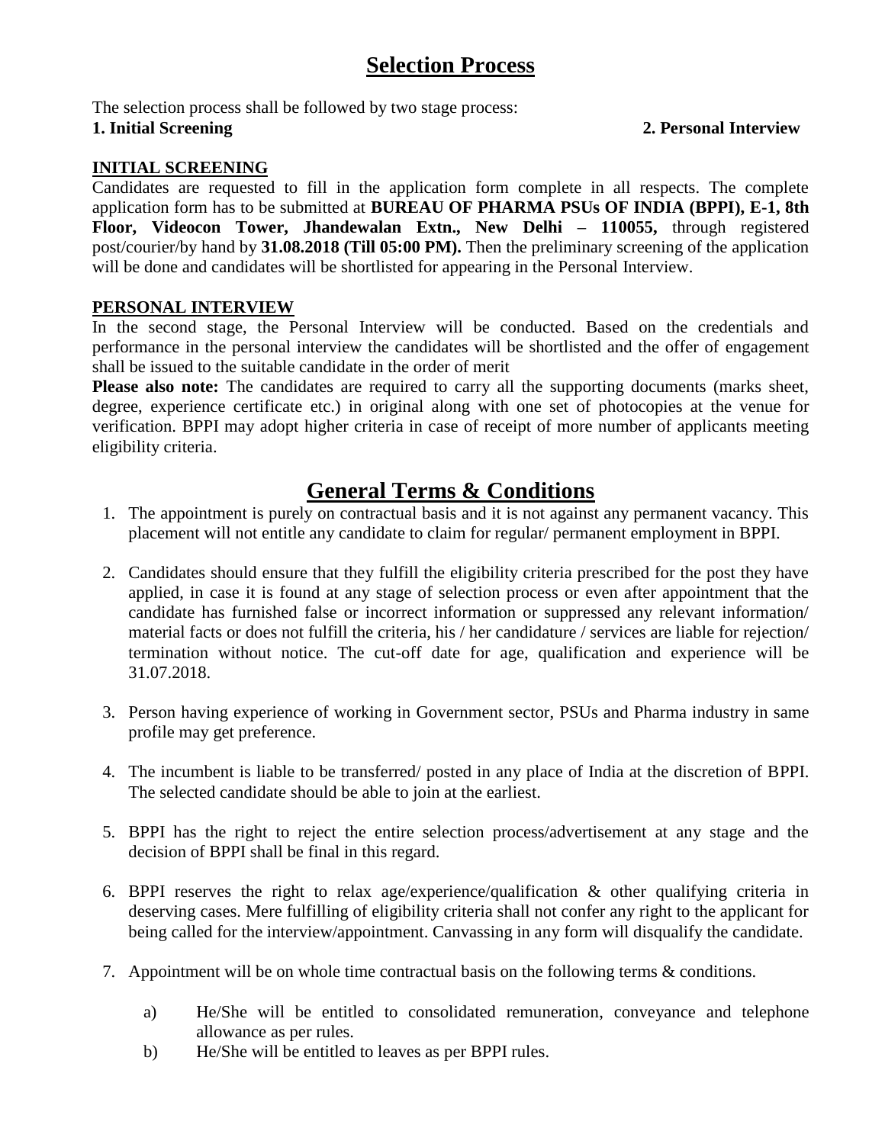## **Selection Process**

The selection process shall be followed by two stage process: **1. Initial Screening 2. Personal Interview**

## **INITIAL SCREENING**

Candidates are requested to fill in the application form complete in all respects. The complete application form has to be submitted at **BUREAU OF PHARMA PSUs OF INDIA (BPPI), E-1, 8th Floor, Videocon Tower, Jhandewalan Extn., New Delhi – 110055,** through registered post/courier/by hand by **31.08.2018 (Till 05:00 PM).** Then the preliminary screening of the application will be done and candidates will be shortlisted for appearing in the Personal Interview.

## **PERSONAL INTERVIEW**

In the second stage, the Personal Interview will be conducted. Based on the credentials and performance in the personal interview the candidates will be shortlisted and the offer of engagement shall be issued to the suitable candidate in the order of merit

**Please also note:** The candidates are required to carry all the supporting documents (marks sheet, degree, experience certificate etc.) in original along with one set of photocopies at the venue for verification. BPPI may adopt higher criteria in case of receipt of more number of applicants meeting eligibility criteria.

## **General Terms & Conditions**

- 1. The appointment is purely on contractual basis and it is not against any permanent vacancy. This placement will not entitle any candidate to claim for regular/ permanent employment in BPPI.
- 2. Candidates should ensure that they fulfill the eligibility criteria prescribed for the post they have applied, in case it is found at any stage of selection process or even after appointment that the candidate has furnished false or incorrect information or suppressed any relevant information/ material facts or does not fulfill the criteria, his / her candidature / services are liable for rejection/ termination without notice. The cut-off date for age, qualification and experience will be 31.07.2018.
- 3. Person having experience of working in Government sector, PSUs and Pharma industry in same profile may get preference.
- 4. The incumbent is liable to be transferred/ posted in any place of India at the discretion of BPPI. The selected candidate should be able to join at the earliest.
- 5. BPPI has the right to reject the entire selection process/advertisement at any stage and the decision of BPPI shall be final in this regard.
- 6. BPPI reserves the right to relax age/experience/qualification & other qualifying criteria in deserving cases. Mere fulfilling of eligibility criteria shall not confer any right to the applicant for being called for the interview/appointment. Canvassing in any form will disqualify the candidate.
- 7. Appointment will be on whole time contractual basis on the following terms & conditions.
	- a) He/She will be entitled to consolidated remuneration, conveyance and telephone allowance as per rules.
	- b) He/She will be entitled to leaves as per BPPI rules.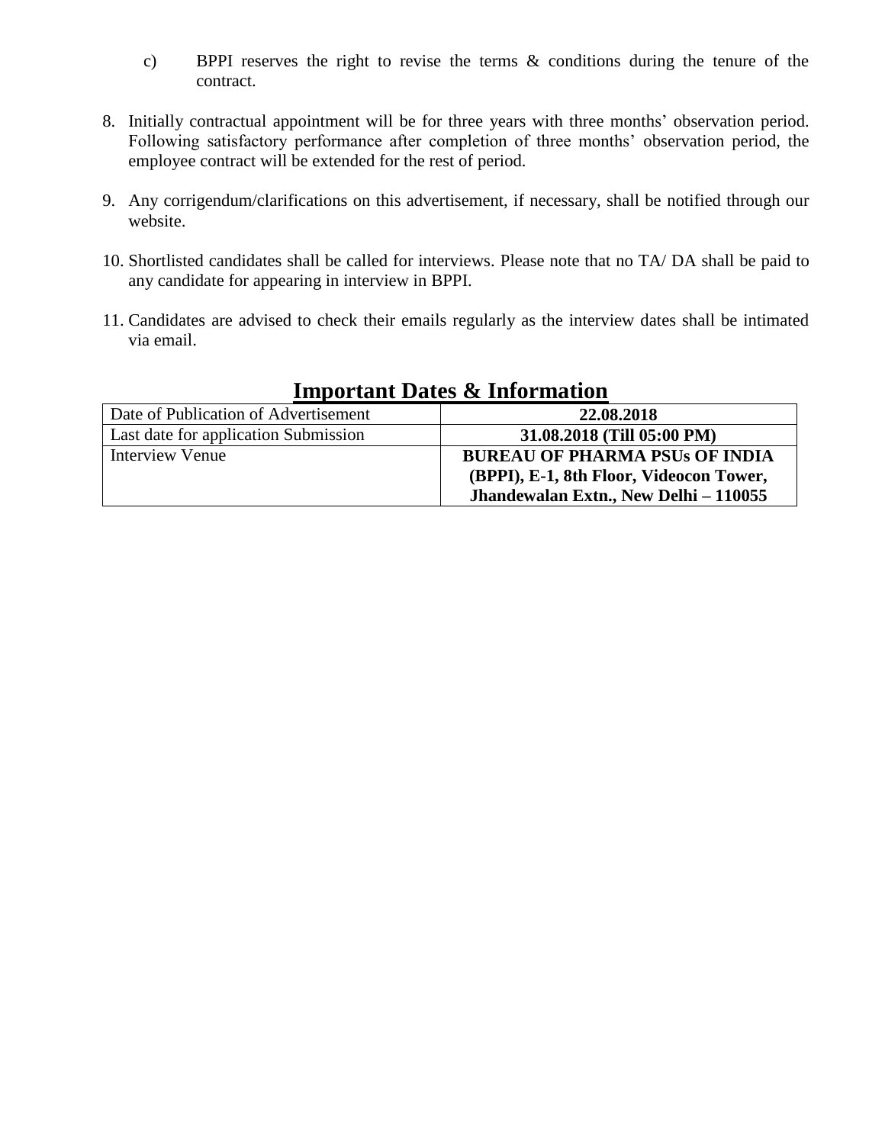- c) BPPI reserves the right to revise the terms & conditions during the tenure of the contract.
- 8. Initially contractual appointment will be for three years with three months' observation period. Following satisfactory performance after completion of three months' observation period, the employee contract will be extended for the rest of period.
- 9. Any corrigendum/clarifications on this advertisement, if necessary, shall be notified through our website.
- 10. Shortlisted candidates shall be called for interviews. Please note that no TA/ DA shall be paid to any candidate for appearing in interview in BPPI.
- 11. Candidates are advised to check their emails regularly as the interview dates shall be intimated via email.

| Date of Publication of Advertisement | 22.08.2018                              |  |  |  |  |
|--------------------------------------|-----------------------------------------|--|--|--|--|
| Last date for application Submission | 31.08.2018 (Till 05:00 PM)              |  |  |  |  |
| Interview Venue                      | <b>BUREAU OF PHARMA PSUs OF INDIA</b>   |  |  |  |  |
|                                      | (BPPI), E-1, 8th Floor, Videocon Tower, |  |  |  |  |
|                                      | Jhandewalan Extn., New Delhi - 110055   |  |  |  |  |

## **Important Dates & Information**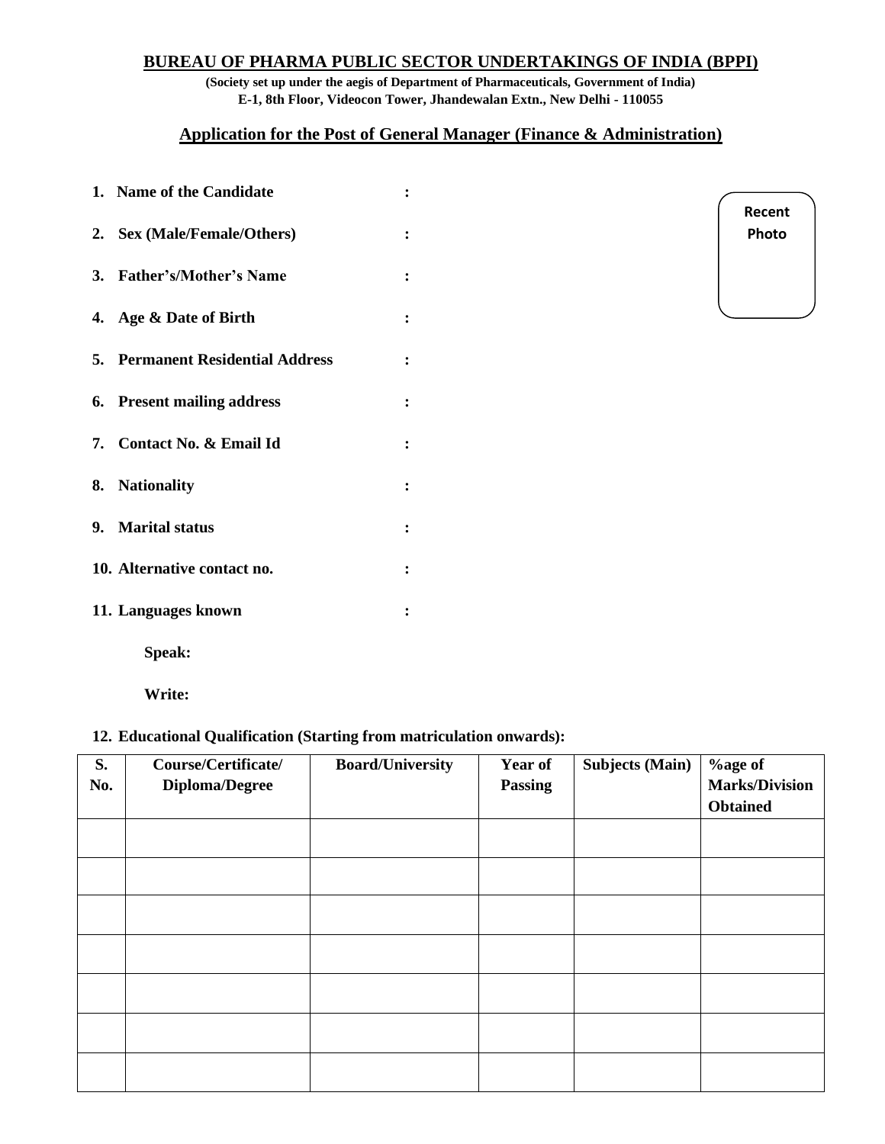## **BUREAU OF PHARMA PUBLIC SECTOR UNDERTAKINGS OF INDIA (BPPI)**

**(Society set up under the aegis of Department of Pharmaceuticals, Government of India) E-1, 8th Floor, Videocon Tower, Jhandewalan Extn., New Delhi - 110055**

## **Application for the Post of General Manager (Finance & Administration)**

| 1. Name of the Candidate                |                |
|-----------------------------------------|----------------|
| 2. Sex (Male/Female/Others)             | $\ddot{\cdot}$ |
| 3. Father's/Mother's Name               |                |
| 4. Age & Date of Birth                  | $\ddot{\cdot}$ |
| <b>5. Permanent Residential Address</b> | $\ddot{\cdot}$ |
| 6. Present mailing address              | $\ddot{\cdot}$ |
| 7. Contact No. & Email Id               |                |
| 8. Nationality                          | $\ddot{\cdot}$ |
| 9. Marital status                       | $\ddot{\cdot}$ |
| 10. Alternative contact no.             | $\ddot{\cdot}$ |
| 11. Languages known                     |                |
| Speak:                                  |                |

**Recent Photo**

**Write:**

#### **12. Educational Qualification (Starting from matriculation onwards):**

| S.<br>No. | Course/Certificate/<br><b>Diploma/Degree</b> | <b>Board/University</b> | Year of<br><b>Passing</b> | <b>Subjects (Main)</b> | %age of<br><b>Marks/Division</b><br><b>Obtained</b> |
|-----------|----------------------------------------------|-------------------------|---------------------------|------------------------|-----------------------------------------------------|
|           |                                              |                         |                           |                        |                                                     |
|           |                                              |                         |                           |                        |                                                     |
|           |                                              |                         |                           |                        |                                                     |
|           |                                              |                         |                           |                        |                                                     |
|           |                                              |                         |                           |                        |                                                     |
|           |                                              |                         |                           |                        |                                                     |
|           |                                              |                         |                           |                        |                                                     |